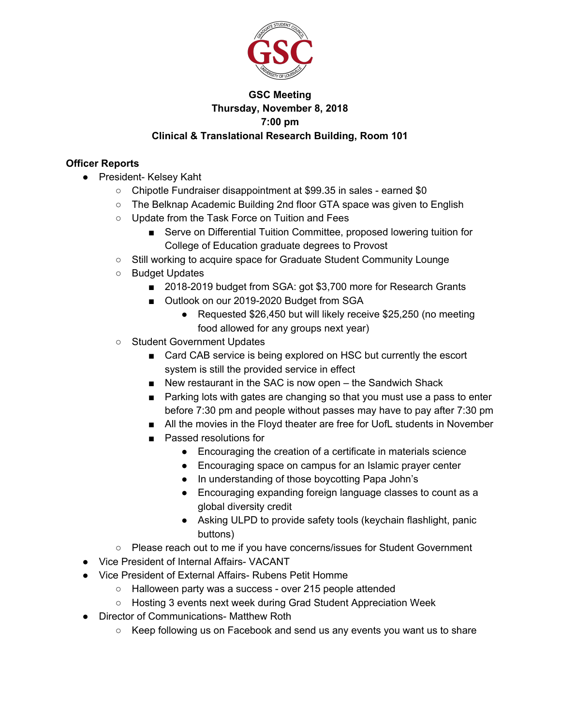

## **GSC Meeting Thursday, November 8, 2018 7:00 pm Clinical & Translational Research Building, Room 101**

### **Officer Reports**

- President- Kelsey Kaht
	- Chipotle Fundraiser disappointment at \$99.35 in sales earned \$0
	- The Belknap Academic Building 2nd floor GTA space was given to English
	- Update from the Task Force on Tuition and Fees
		- Serve on Differential Tuition Committee, proposed lowering tuition for College of Education graduate degrees to Provost
	- Still working to acquire space for Graduate Student Community Lounge
	- Budget Updates
		- 2018-2019 budget from SGA: got \$3,700 more for Research Grants
		- Outlook on our 2019-2020 Budget from SGA
			- Requested \$26,450 but will likely receive \$25,250 (no meeting food allowed for any groups next year)
	- Student Government Updates
		- Card CAB service is being explored on HSC but currently the escort system is still the provided service in effect
		- New restaurant in the SAC is now open the Sandwich Shack
		- Parking lots with gates are changing so that you must use a pass to enter before 7:30 pm and people without passes may have to pay after 7:30 pm
		- All the movies in the Floyd theater are free for UofL students in November
		- Passed resolutions for
			- Encouraging the creation of a certificate in materials science
			- Encouraging space on campus for an Islamic prayer center
			- In understanding of those boycotting Papa John's
			- Encouraging expanding foreign language classes to count as a global diversity credit
			- Asking ULPD to provide safety tools (keychain flashlight, panic buttons)
	- Please reach out to me if you have concerns/issues for Student Government
- Vice President of Internal Affairs- VACANT
- Vice President of External Affairs- Rubens Petit Homme
	- Halloween party was a success over 215 people attended
	- Hosting 3 events next week during Grad Student Appreciation Week
- Director of Communications- Matthew Roth
	- $\circ$  Keep following us on Facebook and send us any events you want us to share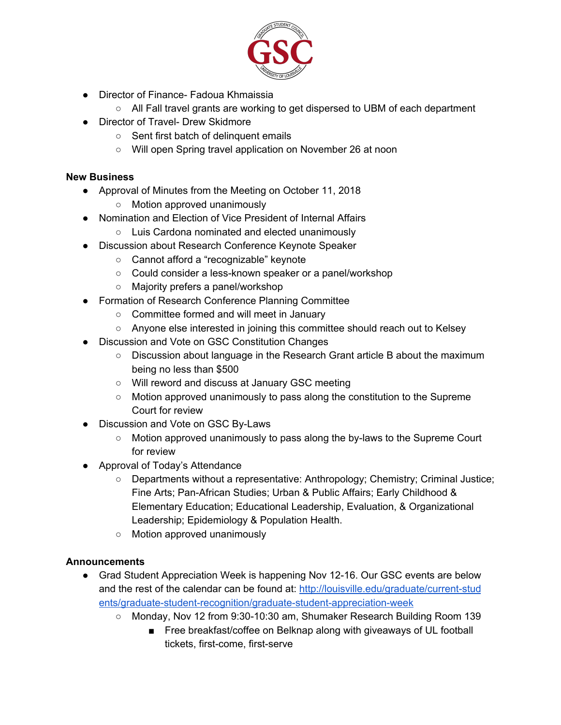

- Director of Finance- Fadoua Khmaissia
	- All Fall travel grants are working to get dispersed to UBM of each department
- Director of Travel- Drew Skidmore
	- Sent first batch of delinquent emails
	- Will open Spring travel application on November 26 at noon

#### **New Business**

- Approval of Minutes from the Meeting on October 11, 2018
	- Motion approved unanimously
- Nomination and Election of Vice President of Internal Affairs
	- Luis Cardona nominated and elected unanimously
- Discussion about Research Conference Keynote Speaker
	- Cannot afford a "recognizable" keynote
	- Could consider a less-known speaker or a panel/workshop
	- Majority prefers a panel/workshop
- Formation of Research Conference Planning Committee
	- Committee formed and will meet in January
	- Anyone else interested in joining this committee should reach out to Kelsey
- Discussion and Vote on GSC Constitution Changes
	- Discussion about language in the Research Grant article B about the maximum being no less than \$500
	- Will reword and discuss at January GSC meeting
	- Motion approved unanimously to pass along the constitution to the Supreme Court for review
- Discussion and Vote on GSC By-Laws
	- Motion approved unanimously to pass along the by-laws to the Supreme Court for review
- Approval of Today's Attendance
	- Departments without a representative: Anthropology; Chemistry; Criminal Justice; Fine Arts; Pan-African Studies; Urban & Public Affairs; Early Childhood & Elementary Education; Educational Leadership, Evaluation, & Organizational Leadership; Epidemiology & Population Health.
	- Motion approved unanimously

#### **Announcements**

- Grad Student Appreciation Week is happening Nov 12-16. Our GSC events are below and the rest of the calendar can be found at: [http://louisville.edu/graduate/current-stud](http://louisville.edu/graduate/current-students/graduate-student-recognition/graduate-student-appreciation-week) [ents/graduate-student-recognition/graduate-student-appreciation-week](http://louisville.edu/graduate/current-students/graduate-student-recognition/graduate-student-appreciation-week)
	- Monday, Nov 12 from 9:30-10:30 am, Shumaker Research Building Room 139
		- Free breakfast/coffee on Belknap along with giveaways of UL football tickets, first-come, first-serve